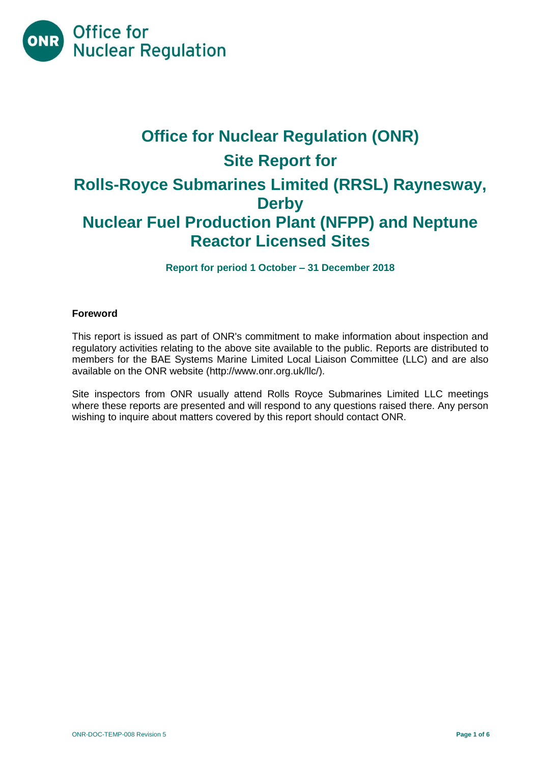

# **Office for Nuclear Regulation (ONR) Site Report for Rolls-Royce Submarines Limited (RRSL) Raynesway, Derby Nuclear Fuel Production Plant (NFPP) and Neptune Reactor Licensed Sites**

**Report for period 1 October – 31 December 2018**

## **Foreword**

This report is issued as part of ONR's commitment to make information about inspection and regulatory activities relating to the above site available to the public. Reports are distributed to members for the BAE Systems Marine Limited Local Liaison Committee (LLC) and are also available on the ONR website [\(http://www.onr.org.uk/llc/\)](http://www.onr.org.uk/llc/).

Site inspectors from ONR usually attend Rolls Royce Submarines Limited LLC meetings where these reports are presented and will respond to any questions raised there. Any person wishing to inquire about matters covered by this report should contact ONR.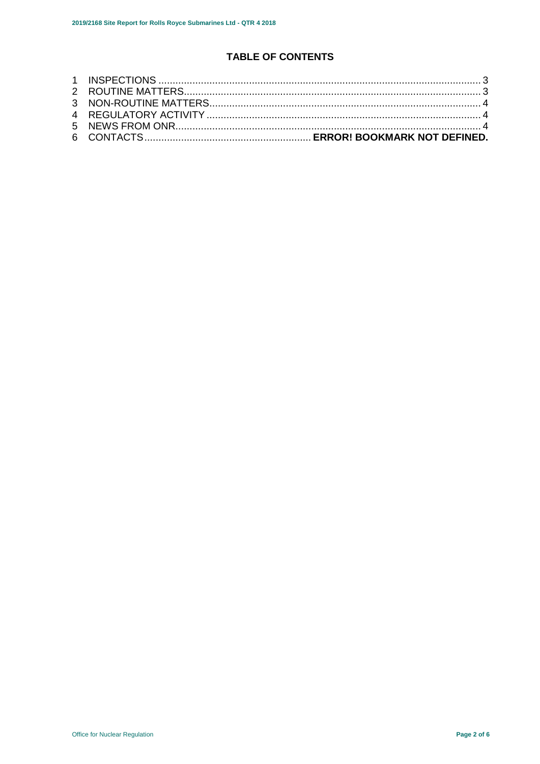# **TABLE OF CONTENTS**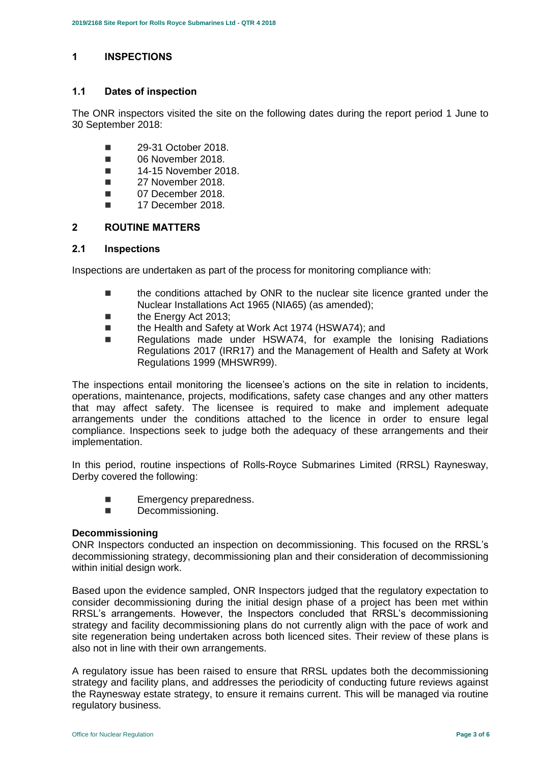### <span id="page-2-0"></span>**1 INSPECTIONS**

#### **1.1 Dates of inspection**

The ONR inspectors visited the site on the following dates during the report period 1 June to 30 September 2018:

- **29-31 October 2018**
- **06 November 2018**
- **14-15 November 2018.**
- **27 November 2018.**
- **07 December 2018.**
- $\blacksquare$  17 December 2018.

#### <span id="page-2-1"></span>**2 ROUTINE MATTERS**

#### **2.1 Inspections**

Inspections are undertaken as part of the process for monitoring compliance with:

- **the conditions attached by ONR to the nuclear site licence granted under the** Nuclear Installations Act 1965 (NIA65) (as amended);
- the Energy Act 2013;
- the Health and Safety at Work Act 1974 (HSWA74); and
- Regulations made under HSWA74, for example the Ionising Radiations Regulations 2017 (IRR17) and the Management of Health and Safety at Work Regulations 1999 (MHSWR99).

The inspections entail monitoring the licensee's actions on the site in relation to incidents, operations, maintenance, projects, modifications, safety case changes and any other matters that may affect safety. The licensee is required to make and implement adequate arrangements under the conditions attached to the licence in order to ensure legal compliance. Inspections seek to judge both the adequacy of these arrangements and their implementation.

In this period, routine inspections of Rolls-Royce Submarines Limited (RRSL) Raynesway, Derby covered the following:

- **Emergency preparedness.**<br> **Examples**<br> **Examples**
- Decommissioning.

#### **Decommissioning**

ONR Inspectors conducted an inspection on decommissioning. This focused on the RRSL's decommissioning strategy, decommissioning plan and their consideration of decommissioning within initial design work.

Based upon the evidence sampled, ONR Inspectors judged that the regulatory expectation to consider decommissioning during the initial design phase of a project has been met within RRSL's arrangements. However, the Inspectors concluded that RRSL's decommissioning strategy and facility decommissioning plans do not currently align with the pace of work and site regeneration being undertaken across both licenced sites. Their review of these plans is also not in line with their own arrangements.

A regulatory issue has been raised to ensure that RRSL updates both the decommissioning strategy and facility plans, and addresses the periodicity of conducting future reviews against the Raynesway estate strategy, to ensure it remains current. This will be managed via routine regulatory business.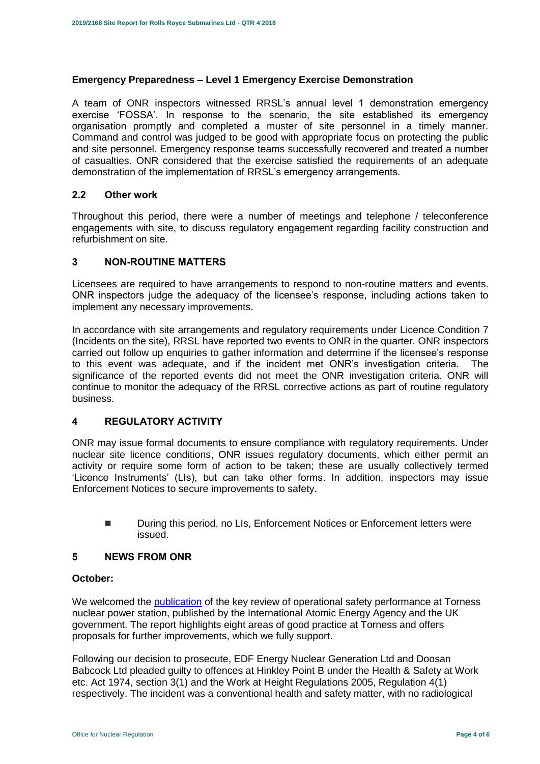#### **Emergency Preparedness – Level 1 Emergency Exercise Demonstration**

A team of ONR inspectors witnessed RRSL's annual level 1 demonstration emergency exercise 'FOSSA'. In response to the scenario, the site established its emergency organisation promptly and completed a muster of site personnel in a timely manner. Command and control was judged to be good with appropriate focus on protecting the public and site personnel. Emergency response teams successfully recovered and treated a number of casualties. ONR considered that the exercise satisfied the requirements of an adequate demonstration of the implementation of RRSL's emergency arrangements.

#### **2.2 Other work**

Throughout this period, there were a number of meetings and telephone / teleconference engagements with site, to discuss regulatory engagement regarding facility construction and refurbishment on site.

#### <span id="page-3-0"></span>**3 NON-ROUTINE MATTERS**

Licensees are required to have arrangements to respond to non-routine matters and events. ONR inspectors judge the adequacy of the licensee's response, including actions taken to implement any necessary improvements.

In accordance with site arrangements and regulatory requirements under Licence Condition 7 (Incidents on the site), RRSL have reported two events to ONR in the quarter. ONR inspectors carried out follow up enquiries to gather information and determine if the licensee's response to this event was adequate, and if the incident met ONR's investigation criteria. The significance of the reported events did not meet the ONR investigation criteria. ONR will continue to monitor the adequacy of the RRSL corrective actions as part of routine regulatory business.

#### <span id="page-3-1"></span>**4 REGULATORY ACTIVITY**

ONR may issue formal documents to ensure compliance with regulatory requirements. Under nuclear site licence conditions, ONR issues regulatory documents, which either permit an activity or require some form of action to be taken; these are usually collectively termed 'Licence Instruments' (LIs), but can take other forms. In addition, inspectors may issue Enforcement Notices to secure improvements to safety.

■ During this period, no LIs, Enforcement Notices or Enforcement letters were issued.

#### <span id="page-3-2"></span>**5 NEWS FROM ONR**

#### **October:**

We welcomed the [publication](http://news.onr.org.uk/2018/10/iaea-review-torness-power-station/) of the key review of operational safety performance at Torness nuclear power station, published by the International Atomic Energy Agency and the UK government. The report highlights eight areas of good practice at Torness and offers proposals for further improvements, which we fully support.

Following our decision to prosecute, EDF Energy Nuclear Generation Ltd and Doosan Babcock Ltd pleaded guilty to offences at Hinkley Point B under the Health & Safety at Work etc. Act 1974, section 3(1) and the Work at Height Regulations 2005, Regulation 4(1) respectively. The incident was a conventional health and safety matter, with no radiological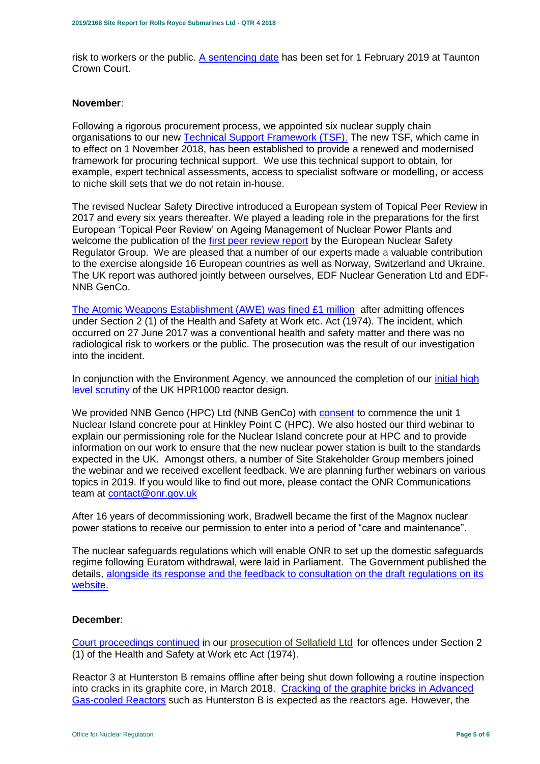risk to workers or the public. [A sentencing date](http://news.onr.org.uk/2018/10/edf-and-doosan-babcock-plead-guilty/) has been set for 1 February 2019 at Taunton Crown Court.

#### **November**:

Following a rigorous procurement process, we appointed six nuclear supply chain organisations to our new [Technical Support Framework \(TSF\).](http://news.onr.org.uk/2018/11/new-technical-support-framework-announced/) The new TSF, which came in to effect on 1 November 2018, has been established to provide a renewed and modernised framework for procuring technical support. We use this technical support to obtain, for example, expert technical assessments, access to specialist software or modelling, or access to niche skill sets that we do not retain in-house.

The revised Nuclear Safety Directive introduced a European system of Topical Peer Review in 2017 and every six years thereafter. We played a leading role in the preparations for the first European 'Topical Peer Review' on Ageing Management of Nuclear Power Plants and welcome the publication of the [first peer review report](http://news.onr.org.uk/2018/11/onr-welcomes-first-topical-peer-review/) by the European Nuclear Safety Regulator Group. We are pleased that a number of our experts made a valuable contribution to the exercise alongside 16 European countries as well as Norway, Switzerland and Ukraine. The UK report was authored jointly between ourselves, EDF Nuclear Generation Ltd and EDF-NNB GenCo.

[The Atomic Weapons Establishment \(AWE\) was fined £1 million](http://news.onr.org.uk/2018/11/awe-prosecution-reaction/) after admitting offences under Section 2 (1) of the Health and Safety at Work etc. Act (1974). The incident, which occurred on 27 June 2017 was a conventional health and safety matter and there was no radiological risk to workers or the public. The prosecution was the result of our investigation into the incident.

In conjunction with the Environment Agency, we announced the completion of our [initial high](http://news.onr.org.uk/2018/11/uk-hpr1000-completes-gda-step-2/)  [level scrutiny](http://news.onr.org.uk/2018/11/uk-hpr1000-completes-gda-step-2/) of the UK HPR1000 reactor design.

We provided NNB Genco (HPC) Ltd (NNB GenCo) with [consent](http://news.onr.org.uk/2018/11/consent-for-hinkley-point-c-nuclear-island-concrete-pour/) to commence the unit 1 Nuclear Island concrete pour at Hinkley Point C (HPC). We also hosted our third webinar to explain our permissioning role for the Nuclear Island concrete pour at HPC and to provide information on our work to ensure that the new nuclear power station is built to the standards expected in the UK. Amongst others, a number of Site Stakeholder Group members joined the webinar and we received excellent feedback. We are planning further webinars on various topics in 2019. If you would like to find out more, please contact the ONR Communications team at [contact@onr.gov.uk](mailto:contact@onr.gov.uk)

After 16 years of decommissioning work, Bradwell became the first of the Magnox nuclear power stations to receive our permission to enter into a period of "care and maintenance".

The nuclear safeguards regulations which will enable ONR to set up the domestic safeguards regime following Euratom withdrawal, were laid in Parliament. The Government published the details, [alongside its response and the feedback to consultation on the draft regulations on its](https://www.gov.uk/government/consultations/nuclear-safeguards-regulations)  [website.](https://www.gov.uk/government/consultations/nuclear-safeguards-regulations)

#### **December**:

[Court proceedings continued](http://news.onr.org.uk/2018/12/prosecution-of-sellafield-ltd/) in our [prosecution of Sellafield Ltd](http://news.onr.org.uk/2018/07/update-prosecution-of-sellafield-ltd/) for offences under Section 2 (1) of the Health and Safety at Work etc Act (1974).

Reactor 3 at Hunterston B remains offline after being shut down following a routine inspection into cracks in its graphite core, in March 2018. Cracking of the graphite bricks in Advanced [Gas-cooled Reactors](http://www.onr.org.uk/civil-nuclear-reactors/graphite-core-of-agrs.htm) such as Hunterston B is expected as the reactors age. However, the